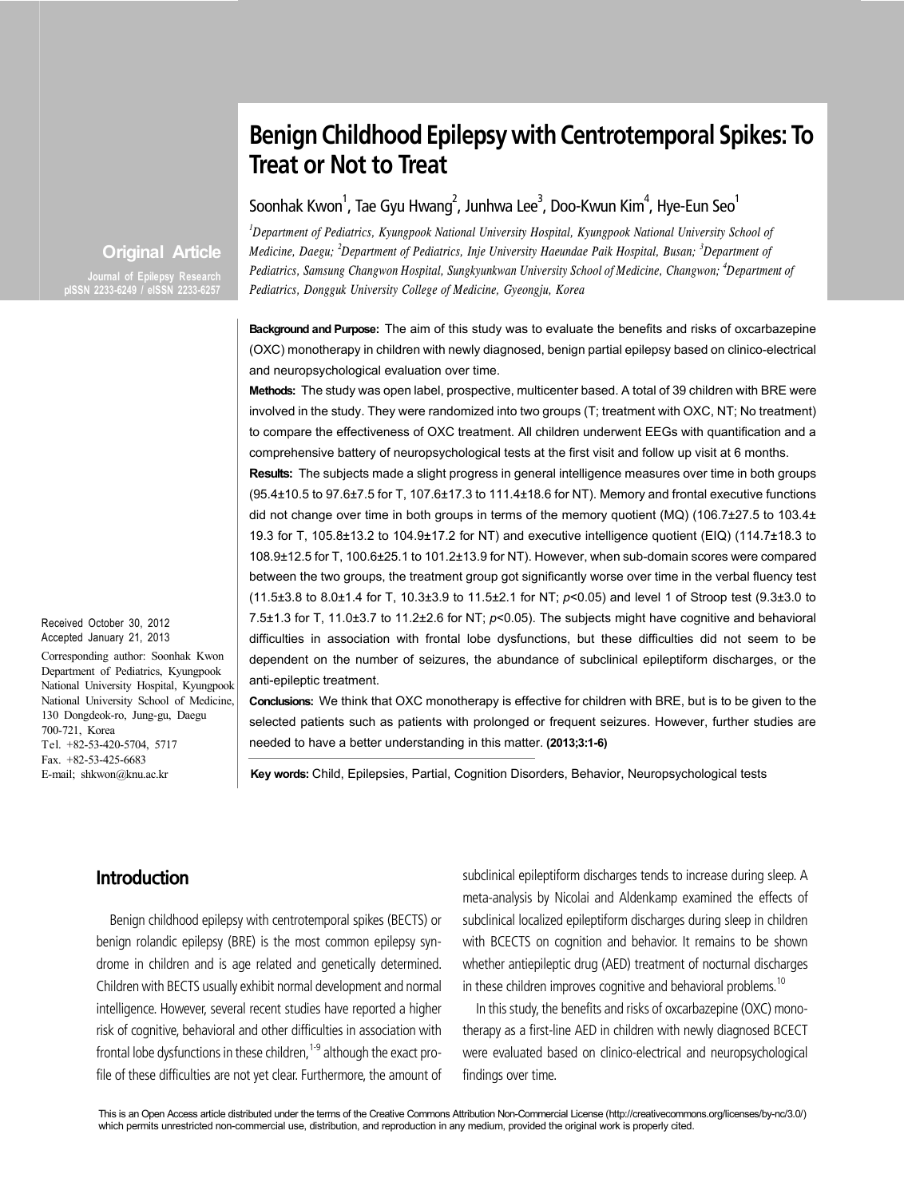# **Benign Childhood Epilepsy with Centrotemporal Spikes: To Treat or Not to Treat**

## Soonhak Kwon $^1$ , Tae Gyu Hwang $^2$ , Junhwa Lee $^3$ , Doo-Kwun Kim $^4$ , Hye-Eun Seo $^1$

*1 Department of Pediatrics, Kyungpook National University Hospital, Kyungpook National University School of Medicine, Daegu; <sup>2</sup> Department of Pediatrics, Inje University Haeundae Paik Hospital, Busan; <sup>3</sup> Department of Pediatrics, Samsung Changwon Hospital, Sungkyunkwan University School of Medicine, Changwon; 4 Department of Pediatrics, Dongguk University College of Medicine, Gyeongju, Korea*

**Background and Purpose:** The aim of this study was to evaluate the benefits and risks of oxcarbazepine (OXC) monotherapy in children with newly diagnosed, benign partial epilepsy based on clinico-electrical and neuropsychological evaluation over time.

**Methods:** The study was open label, prospective, multicenter based. A total of 39 children with BRE were involved in the study. They were randomized into two groups (T; treatment with OXC, NT; No treatment) to compare the effectiveness of OXC treatment. All children underwent EEGs with quantification and a comprehensive battery of neuropsychological tests at the first visit and follow up visit at 6 months.

**Results:** The subjects made a slight progress in general intelligence measures over time in both groups (95.4±10.5 to 97.6±7.5 for T, 107.6±17.3 to 111.4±18.6 for NT). Memory and frontal executive functions did not change over time in both groups in terms of the memory quotient (MQ) (106.7±27.5 to 103.4± 19.3 for T, 105.8±13.2 to 104.9±17.2 for NT) and executive intelligence quotient (EIQ) (114.7±18.3 to 108.9±12.5 for T, 100.6±25.1 to 101.2±13.9 for NT). However, when sub-domain scores were compared between the two groups, the treatment group got significantly worse over time in the verbal fluency test (11.5±3.8 to 8.0±1.4 for T, 10.3±3.9 to 11.5±2.1 for NT; *p*<0.05) and level 1 of Stroop test (9.3±3.0 to 7.5±1.3 for T, 11.0±3.7 to 11.2±2.6 for NT; *p*<0.05). The subjects might have cognitive and behavioral difficulties in association with frontal lobe dysfunctions, but these difficulties did not seem to be dependent on the number of seizures, the abundance of subclinical epileptiform discharges, or the anti-epileptic treatment.

**Conclusions:** We think that OXC monotherapy is effective for children with BRE, but is to be given to the selected patients such as patients with prolonged or frequent seizures. However, further studies are needed to have a better understanding in this matter. **(2013;3:1-6)**

**Key words:** Child, Epilepsies, Partial, Cognition Disorders, Behavior, Neuropsychological tests

## **Original Article pISSN 2233-6249 / eISSN 2233-6257**

Received October 30, 2012 Accepted January 21, 2013

Corresponding author: Soonhak Kwon Department of Pediatrics, Kyungpook National University Hospital, Kyungpook National University School of Medicine, 130 Dongdeok-ro, Jung-gu, Daegu 700-721, Korea Tel. +82-53-420-5704, 5717 Fax. +82-53-425-6683 E-mail; shkwon@knu.ac.kr

## **Introduction**

Benign childhood epilepsy with centrotemporal spikes (BECTS) or benign rolandic epilepsy (BRE) is the most common epilepsy syndrome in children and is age related and genetically determined. Children with BECTS usually exhibit normal development and normal intelligence. However, several recent studies have reported a higher risk of cognitive, behavioral and other difficulties in association with frontal lobe dysfunctions in these children,  $1-9$  although the exact profile of these difficulties are not yet clear. Furthermore, the amount of subclinical epileptiform discharges tends to increase during sleep. A meta-analysis by Nicolai and Aldenkamp examined the effects of subclinical localized epileptiform discharges during sleep in children with BCECTS on cognition and behavior. It remains to be shown whether antiepileptic drug (AED) treatment of nocturnal discharges in these children improves cognitive and behavioral problems.<sup>10</sup>

In this study, the benefits and risks of oxcarbazepine (OXC) monotherapy as a first-line AED in children with newly diagnosed BCECT were evaluated based on clinico-electrical and neuropsychological findings over time.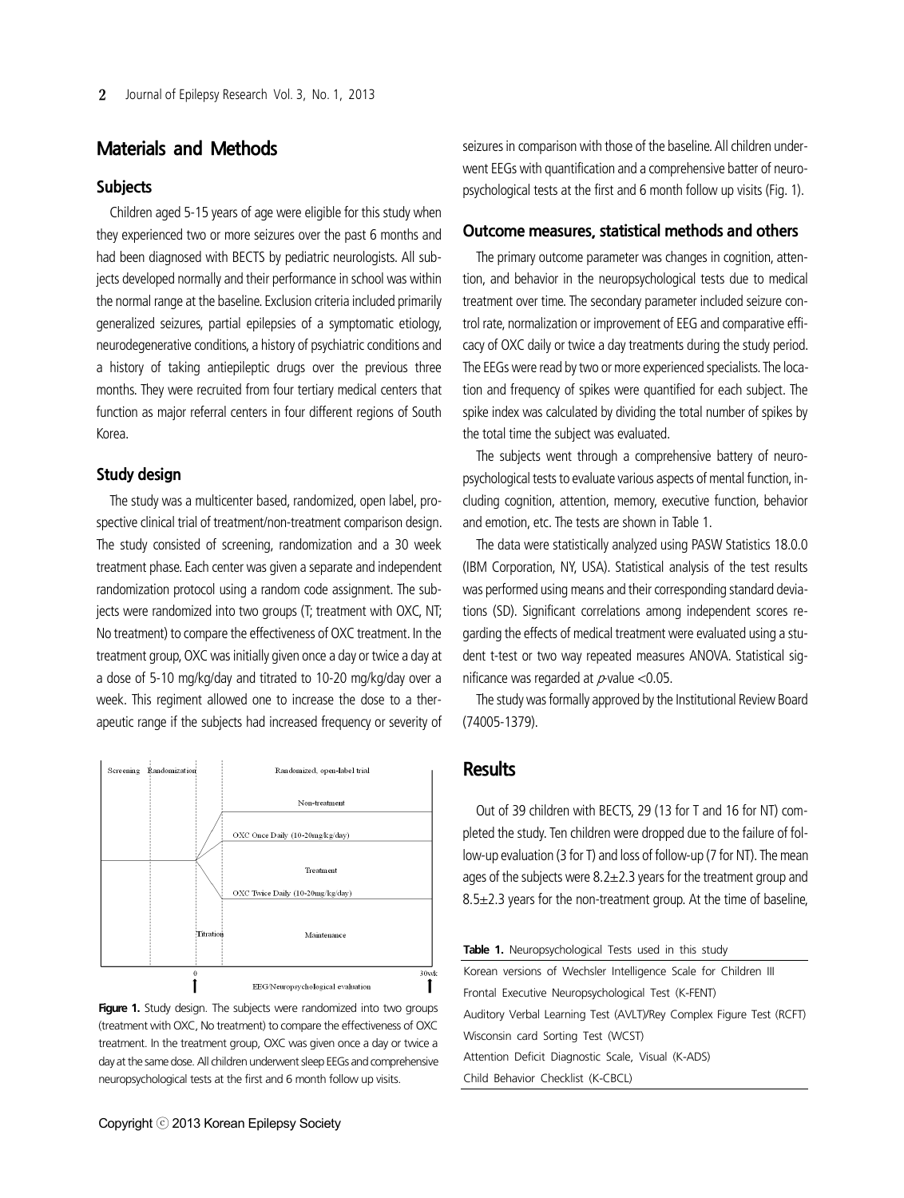## **Materials and Methods**

#### **Subjects**

Children aged 5-15 years of age were eligible for this study when they experienced two or more seizures over the past 6 months and had been diagnosed with BECTS by pediatric neurologists. All subjects developed normally and their performance in school was within the normal range at the baseline. Exclusion criteria included primarily generalized seizures, partial epilepsies of a symptomatic etiology, neurodegenerative conditions, a history of psychiatric conditions and a history of taking antiepileptic drugs over the previous three months. They were recruited from four tertiary medical centers that function as major referral centers in four different regions of South Korea.

#### **Study design**

The study was a multicenter based, randomized, open label, prospective clinical trial of treatment/non-treatment comparison design. The study consisted of screening, randomization and a 30 week treatment phase. Each center was given a separate and independent randomization protocol using a random code assignment. The subjects were randomized into two groups (T; treatment with OXC, NT; No treatment) to compare the effectiveness of OXC treatment. In the treatment group, OXC was initially given once a day or twice a day at a dose of 5-10 mg/kg/day and titrated to 10-20 mg/kg/day over a week. This regiment allowed one to increase the dose to a therapeutic range if the subjects had increased frequency or severity of



Figure 1. Study design. The subjects were randomized into two groups (treatment with OXC, No treatment) to compare the effectiveness of OXC treatment. In the treatment group, OXC was given once a day or twice a day at the same dose. All children underwent sleep EEGs and comprehensive neuropsychological tests at the first and 6 month follow up visits.

seizures in comparison with those of the baseline. All children underwent EEGs with quantification and a comprehensive batter of neuropsychological tests at the first and 6 month follow up visits (Fig. 1).

#### **Outcome measures, statistical methods and others**

The primary outcome parameter was changes in cognition, attention, and behavior in the neuropsychological tests due to medical treatment over time. The secondary parameter included seizure control rate, normalization or improvement of EEG and comparative efficacy of OXC daily or twice a day treatments during the study period. The EEGs were read by two or more experienced specialists. The location and frequency of spikes were quantified for each subject. The spike index was calculated by dividing the total number of spikes by the total time the subject was evaluated.

The subjects went through a comprehensive battery of neuropsychological tests to evaluate various aspects of mental function, including cognition, attention, memory, executive function, behavior and emotion, etc. The tests are shown in Table 1.

The data were statistically analyzed using PASW Statistics 18.0.0 (IBM Corporation, NY, USA). Statistical analysis of the test results was performed using means and their corresponding standard deviations (SD). Significant correlations among independent scores regarding the effects of medical treatment were evaluated using a student t-test or two way repeated measures ANOVA. Statistical significance was regarded at  $p$ -value <0.05.

The study was formally approved by the Institutional Review Board (74005-1379).

## **Results**

Out of 39 children with BECTS, 29 (13 for T and 16 for NT) completed the study. Ten children were dropped due to the failure of follow-up evaluation (3 for T) and loss of follow-up (7 for NT). The mean ages of the subjects were  $8.2 \pm 2.3$  years for the treatment group and  $8.5\pm2.3$  years for the non-treatment group. At the time of baseline,

| Table 1. Neuropsychological Tests used in this study                |
|---------------------------------------------------------------------|
| Korean versions of Wechsler Intelligence Scale for Children III     |
| Frontal Executive Neuropsychological Test (K-FENT)                  |
| Auditory Verbal Learning Test (AVLT)/Rey Complex Figure Test (RCFT) |
| Wisconsin card Sorting Test (WCST)                                  |
| Attention Deficit Diagnostic Scale, Visual (K-ADS)                  |
| Child Behavior Checklist (K-CBCL)                                   |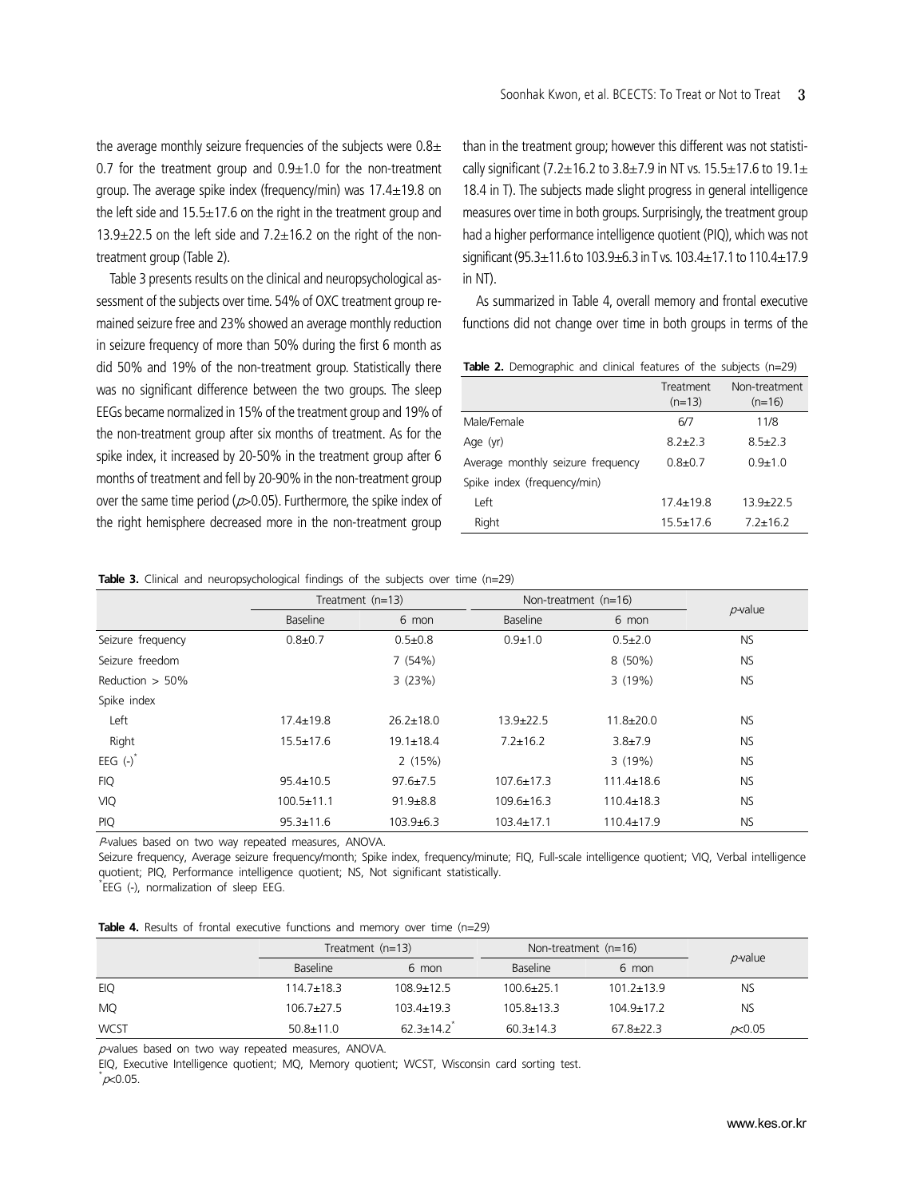the average monthly seizure frequencies of the subjects were  $0.8<sub>\pm</sub>$ 0.7 for the treatment group and  $0.9\pm1.0$  for the non-treatment group. The average spike index (frequency/min) was  $17.4 \pm 19.8$  on the left side and  $15.5\pm17.6$  on the right in the treatment group and  $13.9\pm22.5$  on the left side and  $7.2\pm16.2$  on the right of the nontreatment group (Table 2).

Table 3 presents results on the clinical and neuropsychological assessment of the subjects over time. 54% of OXC treatment group remained seizure free and 23% showed an average monthly reduction in seizure frequency of more than 50% during the first 6 month as did 50% and 19% of the non-treatment group. Statistically there was no significant difference between the two groups. The sleep EEGs became normalized in 15% of the treatment group and 19% of the non-treatment group after six months of treatment. As for the spike index, it increased by 20-50% in the treatment group after 6 months of treatment and fell by 20-90% in the non-treatment group over the same time period ( $p > 0.05$ ). Furthermore, the spike index of the right hemisphere decreased more in the non-treatment group

than in the treatment group; however this different was not statistically significant (7.2 $\pm$ 16.2 to 3.8 $\pm$ 7.9 in NT vs. 15.5 $\pm$ 17.6 to 19.1 $\pm$ 18.4 in T). The subjects made slight progress in general intelligence measures over time in both groups. Surprisingly, the treatment group had a higher performance intelligence quotient (PIQ), which was not significant (95.3±11.6 to 103.9±6.3 in T vs. 103.4±17.1 to 110.4±17.9 in NT).

As summarized in Table 4, overall memory and frontal executive functions did not change over time in both groups in terms of the

Table 2. Demographic and clinical features of the subjects (n=29)

|                                   | Treatment<br>$(n=13)$ | Non-treatment<br>$(n=16)$ |
|-----------------------------------|-----------------------|---------------------------|
| Male/Female                       | 6/7                   | 11/8                      |
| Age (yr)                          | $82+23$               | $85+23$                   |
| Average monthly seizure frequency | $0.8 + 0.7$           | $0.9 + 1.0$               |
| Spike index (frequency/min)       |                       |                           |
| Left                              | $174 + 198$           | $139+225$                 |
| Right                             | $15.5 \pm 17.6$       | $7.2 \pm 16.2$            |

**Table 3.** Clinical and neuropsychological findings of the subjects over time (n=29)

|                    | Treatment $(n=13)$ |                 | Non-treatment $(n=16)$ |                  |            |
|--------------------|--------------------|-----------------|------------------------|------------------|------------|
|                    | Baseline           | 6 mon           | <b>Baseline</b>        | 6 mon            | $p$ -value |
| Seizure frequency  | $0.8 + 0.7$        | $0.5 \pm 0.8$   | $0.9 + 1.0$            | $0.5 + 2.0$      | <b>NS</b>  |
| Seizure freedom    |                    | 7(54%)          |                        | 8 (50%)          | <b>NS</b>  |
| Reduction $> 50\%$ |                    | 3(23%)          |                        | 3(19%)           | <b>NS</b>  |
| Spike index        |                    |                 |                        |                  |            |
| Left               | $17.4 \pm 19.8$    | $26.2 + 18.0$   | $13.9 \pm 22.5$        | $11.8 \pm 20.0$  | NS.        |
| Right              | $15.5 \pm 17.6$    | $19.1 \pm 18.4$ | $7.2 \pm 16.2$         | $3.8 + 7.9$      | NS.        |
| EEG $(-)^*$        |                    | 2(15%)          |                        | 3(19%)           | <b>NS</b>  |
| <b>FIQ</b>         | $95.4 \pm 10.5$    | $97.6 \pm 7.5$  | $107.6 \pm 17.3$       | $111.4 \pm 18.6$ | <b>NS</b>  |
| <b>VIQ</b>         | $100.5 \pm 11.1$   | $91.9 + 8.8$    | $109.6 \pm 16.3$       | $110.4 \pm 18.3$ | <b>NS</b>  |
| <b>PIQ</b>         | $95.3 \pm 11.6$    | $103.9 + 6.3$   | $103.4 \pm 17.1$       | $110.4 \pm 17.9$ | <b>NS</b>  |

<sup>P</sup>-values based on two way repeated measures, ANOVA.

Seizure frequency, Average seizure frequency/month; Spike index, frequency/minute; FIQ, Full-scale intelligence quotient; VIQ, Verbal intelligence quotient; PIQ, Performance intelligence quotient; NS, Not significant statistically.

\* EEG (-), normalization of sleep EEG.

|  |  |  |  |  | <b>Table 4.</b> Results of frontal executive functions and memory over time $(n=29)$ |  |  |  |  |  |  |  |
|--|--|--|--|--|--------------------------------------------------------------------------------------|--|--|--|--|--|--|--|
|--|--|--|--|--|--------------------------------------------------------------------------------------|--|--|--|--|--|--|--|

|             |                  | Treatment $(n=13)$<br>Non-treatment $(n=16)$ |                  |                  |                 |
|-------------|------------------|----------------------------------------------|------------------|------------------|-----------------|
|             | <b>Baseline</b>  | 6 mon                                        | <b>Baseline</b>  | 6 mon            | $p$ -value      |
| EIQ         | $114.7 \pm 18.3$ | $108.9 \pm 12.5$                             | $100.6 + 25.1$   | $101.2 \pm 13.9$ | <b>NS</b>       |
| <b>MQ</b>   | $106.7 \pm 27.5$ | $103.4 \pm 19.3$                             | $105.8 \pm 13.3$ | $104.9 \pm 17.2$ | <b>NS</b>       |
| <b>WCST</b> | $50.8 \pm 11.0$  | $623+142$                                    | $60.3 \pm 14.3$  | $67.8 + 22.3$    | $\not\sim 0.05$ |

 $p$ -values based on two way repeated measures, ANOVA.

EIQ, Executive Intelligence quotient; MQ, Memory quotient; WCST, Wisconsin card sorting test.  $^{\star}$ p $<$ 0.05.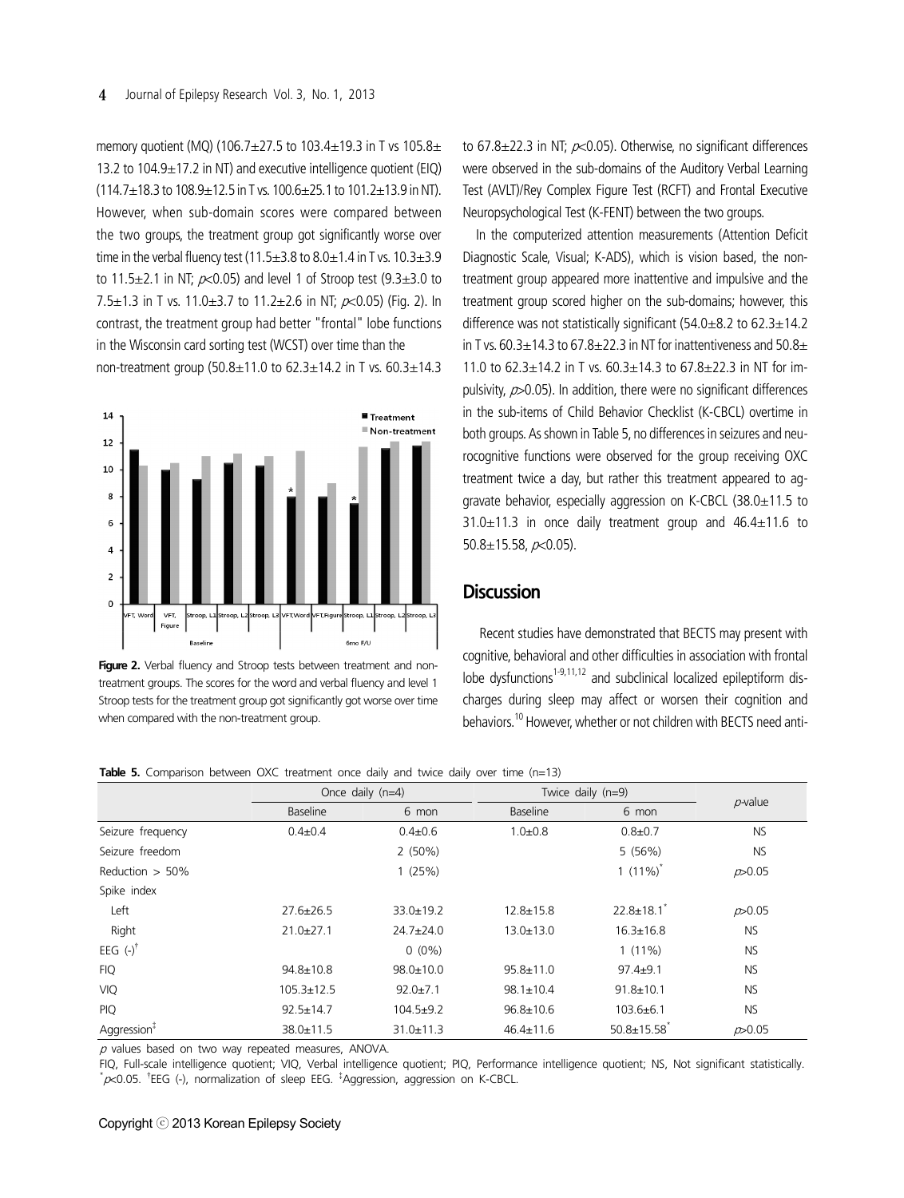memory quotient (MQ) (106.7 $\pm$ 27.5 to 103.4 $\pm$ 19.3 in T vs 105.8 $\pm$ 13.2 to 104.9±17.2 in NT) and executive intelligence quotient (EIQ)  $(114.7\pm18.3$  to  $108.9\pm12.5$  in T vs.  $100.6\pm25.1$  to  $101.2\pm13.9$  in NT). However, when sub-domain scores were compared between the two groups, the treatment group got significantly worse over time in the verbal fluency test (11.5 $\pm$ 3.8 to 8.0 $\pm$ 1.4 in T vs. 10.3 $\pm$ 3.9 to 11.5 $\pm$ 2.1 in NT;  $\alpha$ <0.05) and level 1 of Stroop test (9.3 $\pm$ 3.0 to 7.5 $\pm$ 1.3 in T vs. 11.0 $\pm$ 3.7 to 11.2 $\pm$ 2.6 in NT;  $\rho$  < 0.05) (Fig. 2). In contrast, the treatment group had better "frontal" lobe functions in the Wisconsin card sorting test (WCST) over time than the non-treatment group (50.8±11.0 to 62.3±14.2 in T vs. 60.3±14.3



Figure 2. Verbal fluency and Stroop tests between treatment and nontreatment groups. The scores for the word and verbal fluency and level 1 Stroop tests for the treatment group got significantly got worse over time when compared with the non-treatment group.

to 67.8 $\pm$ 22.3 in NT;  $\alpha$ <0.05). Otherwise, no significant differences were observed in the sub-domains of the Auditory Verbal Learning Test (AVLT)/Rey Complex Figure Test (RCFT) and Frontal Executive Neuropsychological Test (K-FENT) between the two groups.

In the computerized attention measurements (Attention Deficit Diagnostic Scale, Visual; K-ADS), which is vision based, the nontreatment group appeared more inattentive and impulsive and the treatment group scored higher on the sub-domains; however, this difference was not statistically significant (54.0 $\pm$ 8.2 to 62.3 $\pm$ 14.2 in T vs.  $60.3 \pm 14.3$  to  $67.8 \pm 22.3$  in NT for inattentiveness and  $50.8 \pm$ 11.0 to  $62.3 \pm 14.2$  in T vs.  $60.3 \pm 14.3$  to  $67.8 \pm 22.3$  in NT for impulsivity,  $p > 0.05$ ). In addition, there were no significant differences in the sub-items of Child Behavior Checklist (K-CBCL) overtime in both groups. As shown in Table 5, no differences in seizures and neurocognitive functions were observed for the group receiving OXC treatment twice a day, but rather this treatment appeared to aggravate behavior, especially aggression on K-CBCL (38.0±11.5 to  $31.0\pm11.3$  in once daily treatment group and  $46.4\pm11.6$  to 50.8 $\pm$ 15.58,  $p$ <0.05).

#### **Discussion**

 Recent studies have demonstrated that BECTS may present with cognitive, behavioral and other difficulties in association with frontal lobe dysfunctions<sup>1-9,11,12</sup> and subclinical localized epileptiform discharges during sleep may affect or worsen their cognition and behaviors.10 However, whether or not children with BECTS need anti-

**Table 5.** Comparison between OXC treatment once daily and twice daily over time (n=13)

|                         |                  | Once daily $(n=4)$ | Twice daily $(n=9)$ |                              |                |
|-------------------------|------------------|--------------------|---------------------|------------------------------|----------------|
|                         | Baseline         | 6 mon              | Baseline            | 6 mon                        | $p$ -value     |
| Seizure frequency       | $0.4 + 0.4$      | $0.4 \pm 0.6$      | $1.0 + 0.8$         | $0.8 + 0.7$                  | <b>NS</b>      |
| Seizure freedom         |                  | $2(50\%)$          |                     | 5(56%)                       | <b>NS</b>      |
| Reduction $> 50\%$      |                  | 1(25%)             |                     | 1 $(11\%)$ <sup>*</sup>      | $\n  D 0.05\n$ |
| Spike index             |                  |                    |                     |                              |                |
| Left                    | $27.6 \pm 26.5$  | $33.0 \pm 19.2$    | $12.8 \pm 15.8$     | $22.8 \pm 18.1$ <sup>*</sup> | p > 0.05       |
| Right                   | $21.0 \pm 27.1$  | $24.7 \pm 24.0$    | $13.0 \pm 13.0$     | $16.3 \pm 16.8$              | <b>NS</b>      |
| EEG $(-)^{\dagger}$     |                  | $0(0\%)$           |                     | $1(11\%)$                    | <b>NS</b>      |
| <b>FIQ</b>              | $94.8 \pm 10.8$  | $98.0 \pm 10.0$    | $95.8 \pm 11.0$     | $97.4 + 9.1$                 | <b>NS</b>      |
| <b>VIQ</b>              | $105.3 \pm 12.5$ | $92.0 \pm 7.1$     | $98.1 \pm 10.4$     | $91.8 \pm 10.1$              | <b>NS</b>      |
| <b>PIQ</b>              | $92.5 \pm 14.7$  | $104.5 + 9.2$      | $96.8 \pm 10.6$     | $103.6 + 6.1$                | <b>NS</b>      |
| Aggression <sup>‡</sup> | 38.0±11.5        | $31.0 \pm 11.3$    | $46.4 \pm 11.6$     | $50.8 \pm 15.58$             | D > 0.05       |

 $p$  values based on two way repeated measures, ANOVA.

FIQ, Full-scale intelligence quotient; VIQ, Verbal intelligence quotient; PIQ, Performance intelligence quotient; NS, Not significant statistically.  $*\infty$ 0.05.  $*EEG$  (-), normalization of sleep EEG.  $*$ Aggression, aggression on K-CBCL.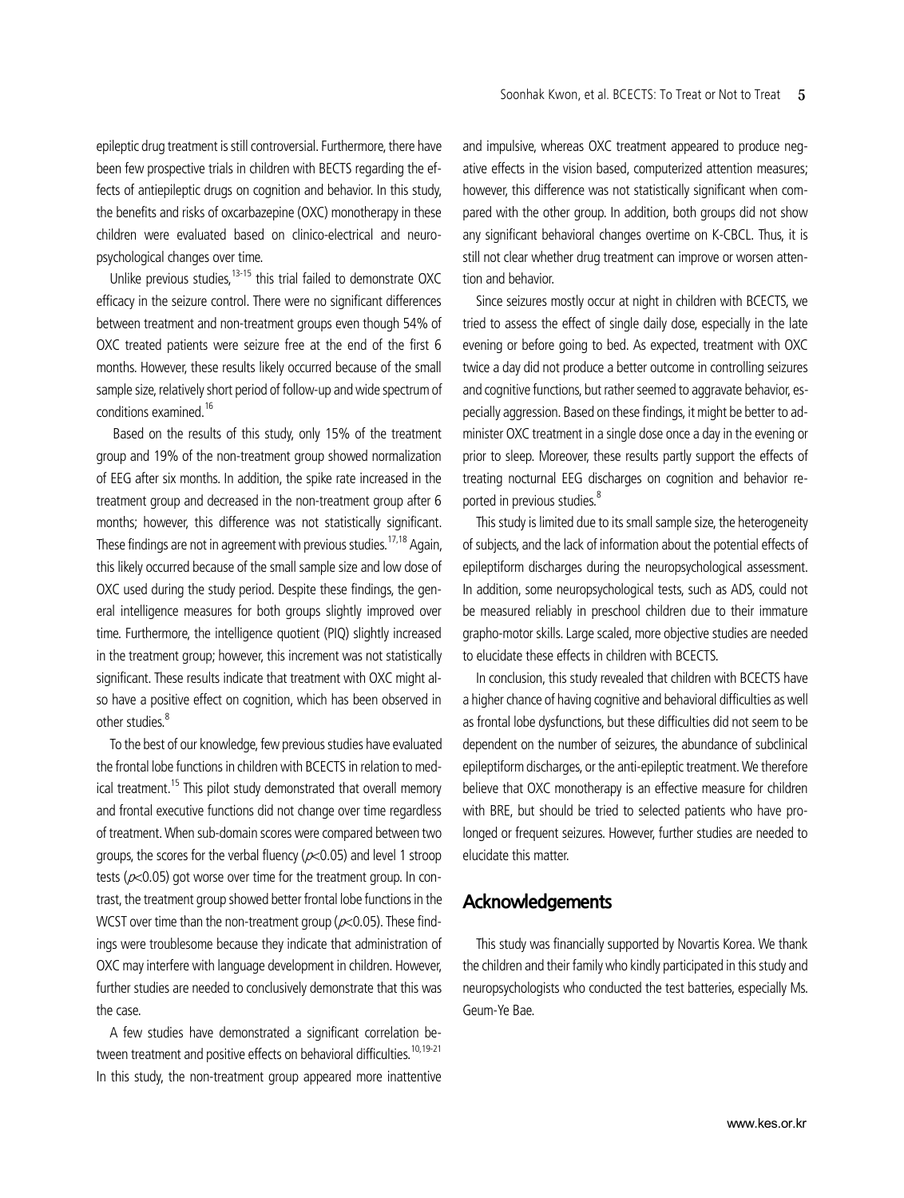epileptic drug treatment is still controversial. Furthermore, there have been few prospective trials in children with BECTS regarding the effects of antiepileptic drugs on cognition and behavior. In this study, the benefits and risks of oxcarbazepine (OXC) monotherapy in these children were evaluated based on clinico-electrical and neuropsychological changes over time.

Unlike previous studies.<sup>13-15</sup> this trial failed to demonstrate  $OXC$ efficacy in the seizure control. There were no significant differences between treatment and non-treatment groups even though 54% of OXC treated patients were seizure free at the end of the first 6 months. However, these results likely occurred because of the small sample size, relatively short period of follow-up and wide spectrum of conditions examined.<sup>16</sup>

 Based on the results of this study, only 15% of the treatment group and 19% of the non-treatment group showed normalization of EEG after six months. In addition, the spike rate increased in the treatment group and decreased in the non-treatment group after 6 months; however, this difference was not statistically significant. These findings are not in agreement with previous studies.<sup>17,18</sup> Again, this likely occurred because of the small sample size and low dose of OXC used during the study period. Despite these findings, the general intelligence measures for both groups slightly improved over time. Furthermore, the intelligence quotient (PIQ) slightly increased in the treatment group; however, this increment was not statistically significant. These results indicate that treatment with OXC might also have a positive effect on cognition, which has been observed in other studies.<sup>8</sup>

To the best of our knowledge, few previous studies have evaluated the frontal lobe functions in children with BCECTS in relation to medical treatment.<sup>15</sup> This pilot study demonstrated that overall memory and frontal executive functions did not change over time regardless of treatment. When sub-domain scores were compared between two groups, the scores for the verbal fluency ( $\approx$  0.05) and level 1 stroop tests ( $\approx$ 0.05) got worse over time for the treatment group. In contrast, the treatment group showed better frontal lobe functions in the WCST over time than the non-treatment group ( $p<0.05$ ). These findings were troublesome because they indicate that administration of OXC may interfere with language development in children. However, further studies are needed to conclusively demonstrate that this was the case.

A few studies have demonstrated a significant correlation between treatment and positive effects on behavioral difficulties.<sup>10,19-21</sup> In this study, the non-treatment group appeared more inattentive and impulsive, whereas OXC treatment appeared to produce negative effects in the vision based, computerized attention measures; however, this difference was not statistically significant when compared with the other group. In addition, both groups did not show any significant behavioral changes overtime on K-CBCL. Thus, it is still not clear whether drug treatment can improve or worsen attention and behavior.

Since seizures mostly occur at night in children with BCECTS, we tried to assess the effect of single daily dose, especially in the late evening or before going to bed. As expected, treatment with OXC twice a day did not produce a better outcome in controlling seizures and cognitive functions, but rather seemed to aggravate behavior, especially aggression. Based on these findings, it might be better to administer OXC treatment in a single dose once a day in the evening or prior to sleep. Moreover, these results partly support the effects of treating nocturnal EEG discharges on cognition and behavior reported in previous studies.<sup>8</sup>

This study is limited due to its small sample size, the heterogeneity of subjects, and the lack of information about the potential effects of epileptiform discharges during the neuropsychological assessment. In addition, some neuropsychological tests, such as ADS, could not be measured reliably in preschool children due to their immature grapho-motor skills. Large scaled, more objective studies are needed to elucidate these effects in children with BCECTS.

In conclusion, this study revealed that children with BCECTS have a higher chance of having cognitive and behavioral difficulties as well as frontal lobe dysfunctions, but these difficulties did not seem to be dependent on the number of seizures, the abundance of subclinical epileptiform discharges, or the anti-epileptic treatment. We therefore believe that OXC monotherapy is an effective measure for children with BRE, but should be tried to selected patients who have prolonged or frequent seizures. However, further studies are needed to elucidate this matter.

## **Acknowledgements**

This study was financially supported by Novartis Korea. We thank the children and their family who kindly participated in this study and neuropsychologists who conducted the test batteries, especially Ms. Geum-Ye Bae.